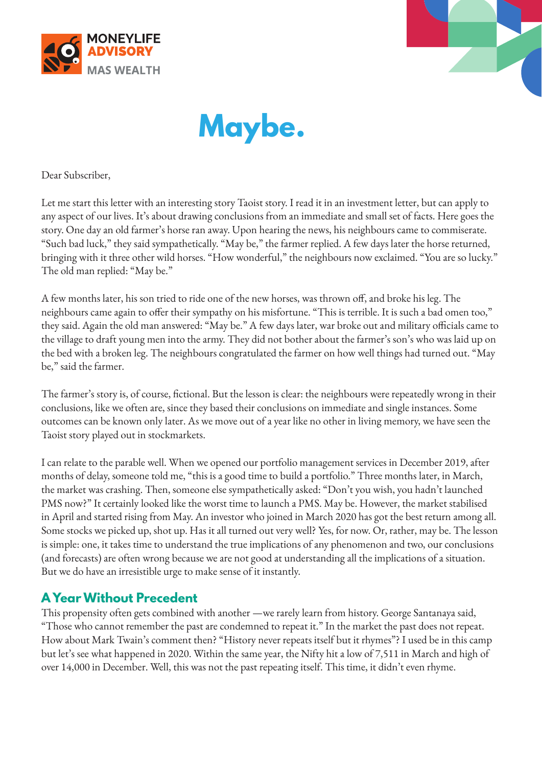





Dear Subscriber,

Let me start this letter with an interesting story Taoist story. I read it in an investment letter, but can apply to any aspect of our lives. It's about drawing conclusions from an immediate and small set of facts. Here goes the story. One day an old farmer's horse ran away. Upon hearing the news, his neighbours came to commiserate. "Such bad luck," they said sympathetically. "May be," the farmer replied. A few days later the horse returned, bringing with it three other wild horses. "How wonderful," the neighbours now exclaimed. "You are so lucky." The old man replied: "May be."

A few months later, his son tried to ride one of the new horses, was thrown off, and broke his leg. The neighbours came again to offer their sympathy on his misfortune. "This is terrible. It is such a bad omen too," they said. Again the old man answered: "May be." A few days later, war broke out and military officials came to the village to draft young men into the army. They did not bother about the farmer's son's who was laid up on the bed with a broken leg. The neighbours congratulated the farmer on how well things had turned out. "May be," said the farmer.

The farmer's story is, of course, fictional. But the lesson is clear: the neighbours were repeatedly wrong in their conclusions, like we often are, since they based their conclusions on immediate and single instances. Some outcomes can be known only later. As we move out of a year like no other in living memory, we have seen the Taoist story played out in stockmarkets.

I can relate to the parable well. When we opened our portfolio management services in December 2019, after months of delay, someone told me, "this is a good time to build a portfolio." Three months later, in March, the market was crashing. Then, someone else sympathetically asked: "Don't you wish, you hadn't launched PMS now?" It certainly looked like the worst time to launch a PMS. May be. However, the market stabilised in April and started rising from May. An investor who joined in March 2020 has got the best return among all. Some stocks we picked up, shot up. Has it all turned out very well? Yes, for now. Or, rather, may be. The lesson is simple: one, it takes time to understand the true implications of any phenomenon and two, our conclusions (and forecasts) are often wrong because we are not good at understanding all the implications of a situation. But we do have an irresistible urge to make sense of it instantly.

## **A Year Without Precedent**

This propensity often gets combined with another —we rarely learn from history. George Santanaya said, "Those who cannot remember the past are condemned to repeat it." In the market the past does not repeat. How about Mark Twain's comment then? "History never repeats itself but it rhymes"? I used be in this camp but let's see what happened in 2020. Within the same year, the Nifty hit a low of 7,511 in March and high of over 14,000 in December. Well, this was not the past repeating itself. This time, it didn't even rhyme.